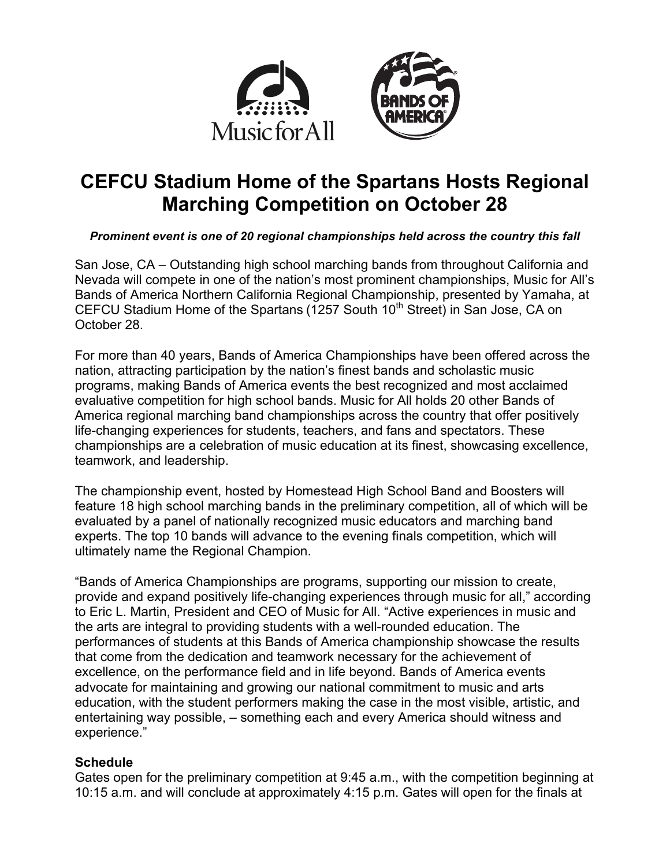



# **CEFCU Stadium Home of the Spartans Hosts Regional Marching Competition on October 28**

## *Prominent event is one of 20 regional championships held across the country this fall*

San Jose, CA – Outstanding high school marching bands from throughout California and Nevada will compete in one of the nation's most prominent championships, Music for All's Bands of America Northern California Regional Championship, presented by Yamaha, at CEFCU Stadium Home of the Spartans ( $1257$  South  $10<sup>th</sup>$  Street) in San Jose, CA on October 28.

For more than 40 years, Bands of America Championships have been offered across the nation, attracting participation by the nation's finest bands and scholastic music programs, making Bands of America events the best recognized and most acclaimed evaluative competition for high school bands. Music for All holds 20 other Bands of America regional marching band championships across the country that offer positively life-changing experiences for students, teachers, and fans and spectators. These championships are a celebration of music education at its finest, showcasing excellence, teamwork, and leadership.

The championship event, hosted by Homestead High School Band and Boosters will feature 18 high school marching bands in the preliminary competition, all of which will be evaluated by a panel of nationally recognized music educators and marching band experts. The top 10 bands will advance to the evening finals competition, which will ultimately name the Regional Champion.

"Bands of America Championships are programs, supporting our mission to create, provide and expand positively life-changing experiences through music for all," according to Eric L. Martin, President and CEO of Music for All. "Active experiences in music and the arts are integral to providing students with a well-rounded education. The performances of students at this Bands of America championship showcase the results that come from the dedication and teamwork necessary for the achievement of excellence, on the performance field and in life beyond. Bands of America events advocate for maintaining and growing our national commitment to music and arts education, with the student performers making the case in the most visible, artistic, and entertaining way possible, – something each and every America should witness and experience."

## **Schedule**

Gates open for the preliminary competition at 9:45 a.m., with the competition beginning at 10:15 a.m. and will conclude at approximately 4:15 p.m. Gates will open for the finals at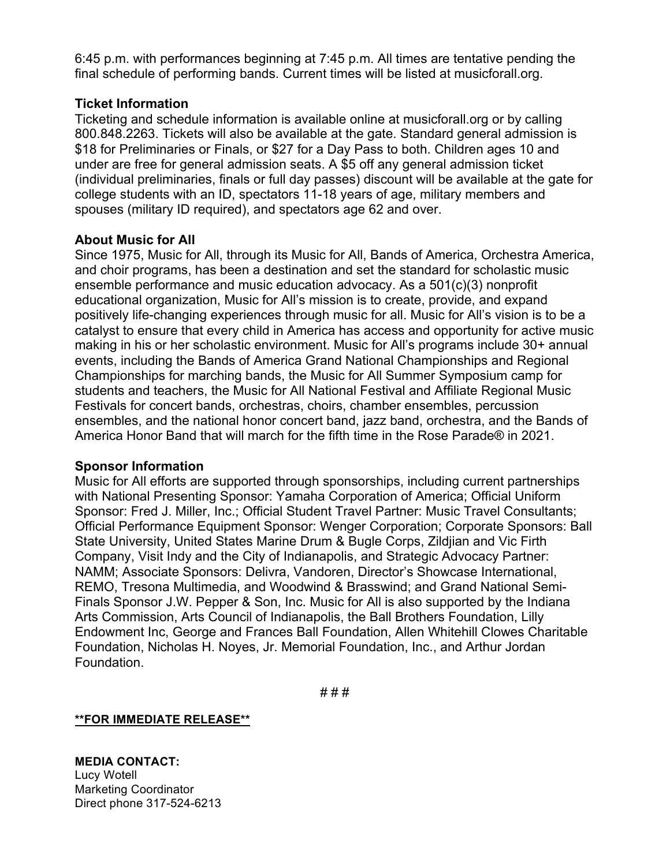6:45 p.m. with performances beginning at 7:45 p.m. All times are tentative pending the final schedule of performing bands. Current times will be listed at musicforall.org.

## **Ticket Information**

Ticketing and schedule information is available online at musicforall.org or by calling 800.848.2263. Tickets will also be available at the gate. Standard general admission is \$18 for Preliminaries or Finals, or \$27 for a Day Pass to both. Children ages 10 and under are free for general admission seats. A \$5 off any general admission ticket (individual preliminaries, finals or full day passes) discount will be available at the gate for college students with an ID, spectators 11-18 years of age, military members and spouses (military ID required), and spectators age 62 and over.

### **About Music for All**

Since 1975, Music for All, through its Music for All, Bands of America, Orchestra America, and choir programs, has been a destination and set the standard for scholastic music ensemble performance and music education advocacy. As a 501(c)(3) nonprofit educational organization, Music for All's mission is to create, provide, and expand positively life-changing experiences through music for all. Music for All's vision is to be a catalyst to ensure that every child in America has access and opportunity for active music making in his or her scholastic environment. Music for All's programs include 30+ annual events, including the Bands of America Grand National Championships and Regional Championships for marching bands, the Music for All Summer Symposium camp for students and teachers, the Music for All National Festival and Affiliate Regional Music Festivals for concert bands, orchestras, choirs, chamber ensembles, percussion ensembles, and the national honor concert band, jazz band, orchestra, and the Bands of America Honor Band that will march for the fifth time in the Rose Parade® in 2021.

### **Sponsor Information**

Music for All efforts are supported through sponsorships, including current partnerships with National Presenting Sponsor: Yamaha Corporation of America; Official Uniform Sponsor: Fred J. Miller, Inc.; Official Student Travel Partner: Music Travel Consultants; Official Performance Equipment Sponsor: Wenger Corporation; Corporate Sponsors: Ball State University, United States Marine Drum & Bugle Corps, Zildjian and Vic Firth Company, Visit Indy and the City of Indianapolis, and Strategic Advocacy Partner: NAMM; Associate Sponsors: Delivra, Vandoren, Director's Showcase International, REMO, Tresona Multimedia, and Woodwind & Brasswind; and Grand National Semi-Finals Sponsor J.W. Pepper & Son, Inc. Music for All is also supported by the Indiana Arts Commission, Arts Council of Indianapolis, the Ball Brothers Foundation, Lilly Endowment Inc, George and Frances Ball Foundation, Allen Whitehill Clowes Charitable Foundation, Nicholas H. Noyes, Jr. Memorial Foundation, Inc., and Arthur Jordan Foundation.

# # #

### **\*\*FOR IMMEDIATE RELEASE\*\***

**MEDIA CONTACT:** Lucy Wotell Marketing Coordinator Direct phone 317-524-6213